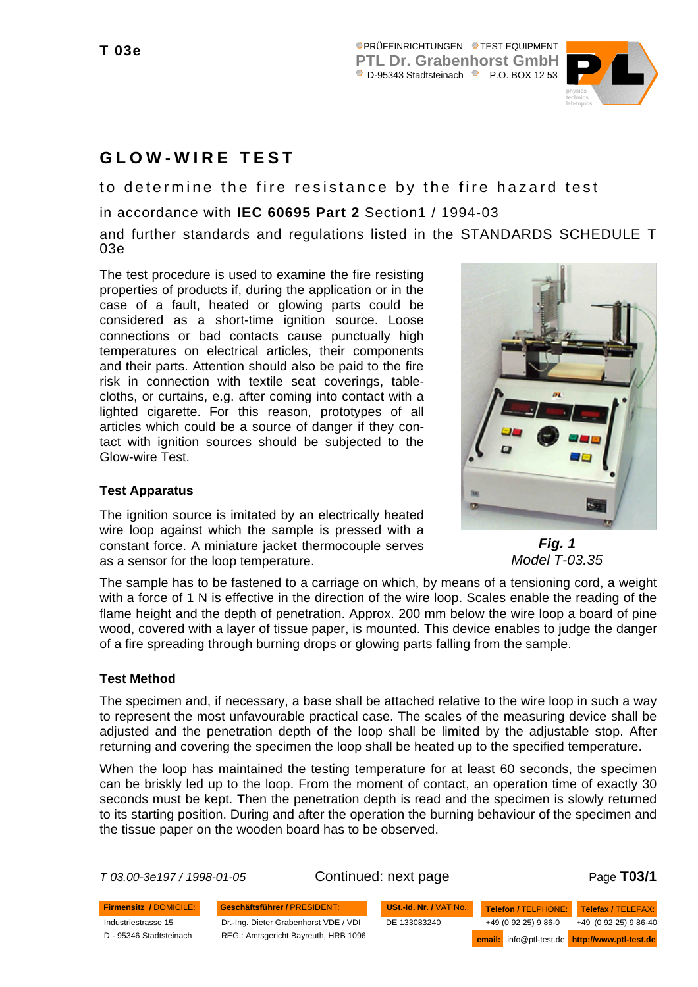

# **GLOW-WIRE TEST**

to determine the fire resistance by the fire hazard test

in accordance with **IEC 60695 Part 2** Section1 / 1994-03

and further standards and regulations listed in the STANDARDS SCHEDULE T 03e

The test procedure is used to examine the fire resisting properties of products if, during the application or in the case of a fault, heated or glowing parts could be considered as a short-time ignition source. Loose connections or bad contacts cause punctually high temperatures on electrical articles, their components and their parts. Attention should also be paid to the fire risk in connection with textile seat coverings, tablecloths, or curtains, e.g. after coming into contact with a lighted cigarette. For this reason, prototypes of all articles which could be a source of danger if they contact with ignition sources should be subjected to the Glow-wire Test.

## **Test Apparatus**

The ignition source is imitated by an electrically heated wire loop against which the sample is pressed with a constant force. A miniature jacket thermocouple serves as a sensor for the loop temperature.



*Fig. 1 Model T-03.35*

The sample has to be fastened to a carriage on which, by means of a tensioning cord, a weight with a force of 1 N is effective in the direction of the wire loop. Scales enable the reading of the flame height and the depth of penetration. Approx. 200 mm below the wire loop a board of pine wood, covered with a layer of tissue paper, is mounted. This device enables to judge the danger of a fire spreading through burning drops or glowing parts falling from the sample.

## **Test Method**

The specimen and, if necessary, a base shall be attached relative to the wire loop in such a way to represent the most unfavourable practical case. The scales of the measuring device shall be adjusted and the penetration depth of the loop shall be limited by the adjustable stop. After returning and covering the specimen the loop shall be heated up to the specified temperature.

When the loop has maintained the testing temperature for at least 60 seconds, the specimen can be briskly led up to the loop. From the moment of contact, an operation time of exactly 30 seconds must be kept. Then the penetration depth is read and the specimen is slowly returned to its starting position. During and after the operation the burning behaviour of the specimen and the tissue paper on the wooden board has to be observed.

*T 03.00-3e197 / 1998-01-05* Continued: next page Page **T03/1**

Industriestrasse 15 D - 95346 Stadtsteinach

**Firmensitz /** DOMICILE: **Geschäftsführer /** PRESIDENT: Dr.-Ing. Dieter Grabenhorst VDE / VDI REG.: Amtsgericht Bayreuth, HRB 1096

+49 (0 92 25) 9 86-0 **USt.-Id. Nr. /** VAT No.: DE 133083240 +49 (0 92 25) 9 86-40 **Telefon /** TELPHONE: **Telefax /** TELEFAX: **email:** info@ptl-test.de **http://www.ptl-test.de**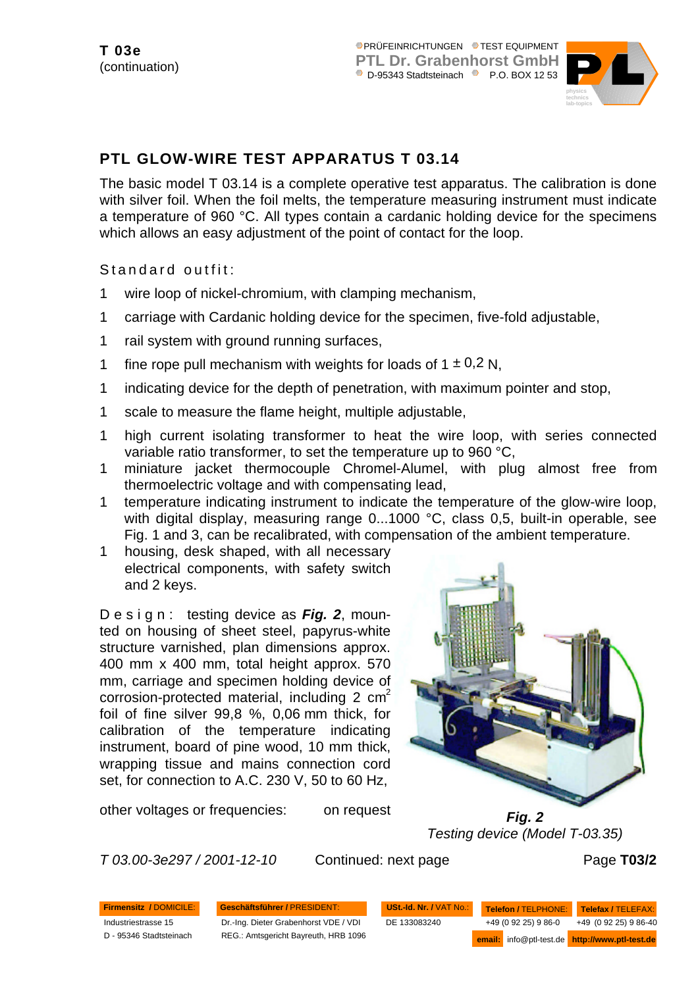

# **PTL GLOW-WIRE TEST APPARATUS T 03.14**

The basic model T 03.14 is a complete operative test apparatus. The calibration is done with silver foil. When the foil melts, the temperature measuring instrument must indicate a temperature of 960 °C. All types contain a cardanic holding device for the specimens which allows an easy adjustment of the point of contact for the loop.

Standard outfit:

- 1 wire loop of nickel-chromium, with clamping mechanism,
- 1 carriage with Cardanic holding device for the specimen, five-fold adjustable,
- 1 rail system with ground running surfaces,
- 1 fine rope pull mechanism with weights for loads of  $1 \pm 0.2$  N.
- 1 indicating device for the depth of penetration, with maximum pointer and stop,
- 1 scale to measure the flame height, multiple adjustable,
- 1 high current isolating transformer to heat the wire loop, with series connected variable ratio transformer, to set the temperature up to 960 °C,
- 1 miniature jacket thermocouple Chromel-Alumel, with plug almost free from thermoelectric voltage and with compensating lead,
- 1 temperature indicating instrument to indicate the temperature of the glow-wire loop, with digital display, measuring range 0...1000 °C, class 0,5, built-in operable, see Fig. 1 and 3, can be recalibrated, with compensation of the ambient temperature.
- 1 housing, desk shaped, with all necessary electrical components, with safety switch and 2 keys.

Design: testing device as *Fig. 2*, mounted on housing of sheet steel, papyrus-white structure varnished, plan dimensions approx. 400 mm x 400 mm, total height approx. 570 mm, carriage and specimen holding device of corrosion-protected material, including  $2 \text{ cm}^2$ foil of fine silver 99,8 %, 0,06 mm thick, for calibration of the temperature indicating instrument, board of pine wood, 10 mm thick, wrapping tissue and mains connection cord set, for connection to A.C. 230 V, 50 to 60 Hz,



other voltages or frequencies: on request

*Fig. 2 Testing device (Model T-03.35)*

*T 03.00-3e297 / 2001-12-10* Continued: next page Page **T03/2**

**Firmensitz /** DOMICILE: **Geschäftsführer /** PRESIDENT: Industriestrasse 15

D - 95346 Stadtsteinach

Dr.-Ing. Dieter Grabenhorst VDE / VDI REG.: Amtsgericht Bayreuth, HRB 1096

+49 (0 92 25) 9 86-0 **USt.-Id. Nr. /** VAT No.: DE 133083240 +49 (0 92 25) 9 86-40 **Telefon /** TELPHONE: **Telefax /** TELEFAX: **email:** info@ptl-test.de **http://www.ptl-test.de**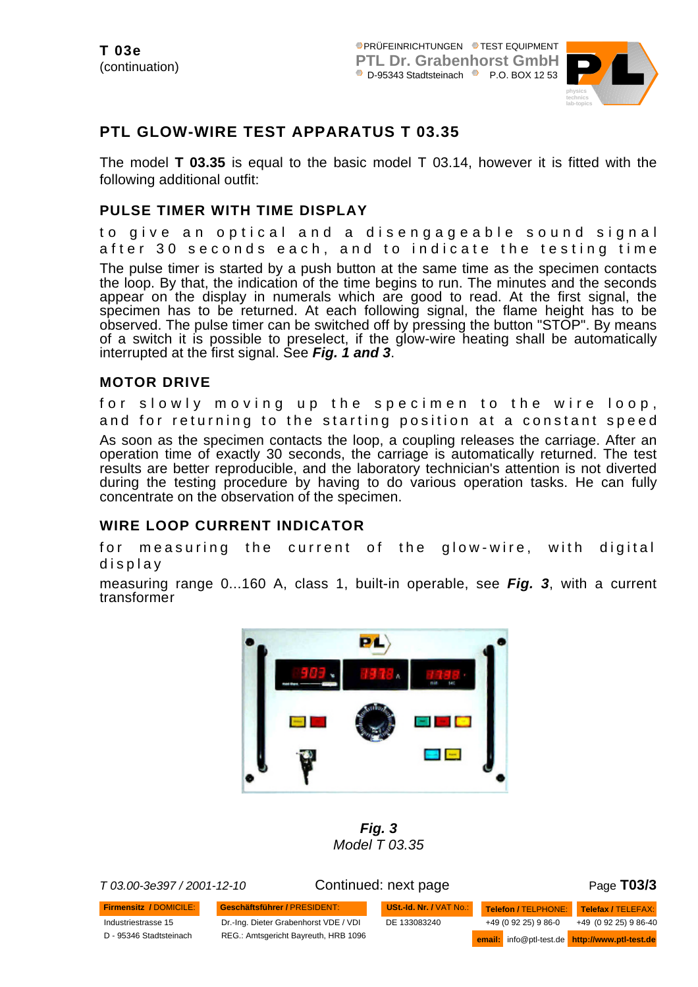

# **PTL GLOW-WIRE TEST APPARATUS T 03.35**

The model **T 03.35** is equal to the basic model T 03.14, however it is fitted with the following additional outfit:

## **PULSE TIMER WITH TIME DISPLAY**

to give an optical and a disengageable sound signa l after 30 seconds each, and to indicate the testing tim e The pulse timer is started by a push button at the same time as the specimen contacts the loop. By that, the indication of the time begins to run. The minutes and the seconds appear on the display in numerals which are good to read. At the first signal, the specimen has to be returned. At each following signal, the flame height has to be observed. The pulse timer can be switched off by pressing the button "STOP". By means of a switch it is possible to preselect, if the glow-wire heating shall be automatically interrupted at the first signal. See *Fig. 1 and 3*.

## **MOTOR DRIVE**

for slowly moving up the specimen to the wire loop , and for returning to the starting position at a constant spee d As soon as the specimen contacts the loop, a coupling releases the carriage. After an operation time of exactly 30 seconds, the carriage is automatically returned. The test results are better reproducible, and the laboratory technician's attention is not diverted during the testing procedure by having to do various operation tasks. He can fully

## **WIRE LOOP CURRENT INDICATOR**

concentrate on the observation of the specimen.

for measuring the current of the glow-wire, with digital displa y

measuring range 0...160 A, class 1, built-in operable, see *Fig. 3*, with a current transformer



*Fig. 3 Model T 03.35*

**Firmensitz /** DOMICILE: **Geschäftsführer /** PRESIDENT:

*T 03.00-3e397 / 2001-12-10* Continued: next page Page **T03/3**

Industriestrasse 15 D - 95346 Stadtsteinach Dr.-Ing. Dieter Grabenhorst VDE / VDI REG.: Amtsgericht Bayreuth, HRB 1096

**USt.-Id. Nr. /** VAT No.: DE 133083240

+49 (0 92 25) 9 86-0 +49 (0 92 25) 9 86-40 **Telefon /** TELPHONE: **Telefax /** TELEFAX: **email:** info@ptl-test.de **http://www.ptl-test.de**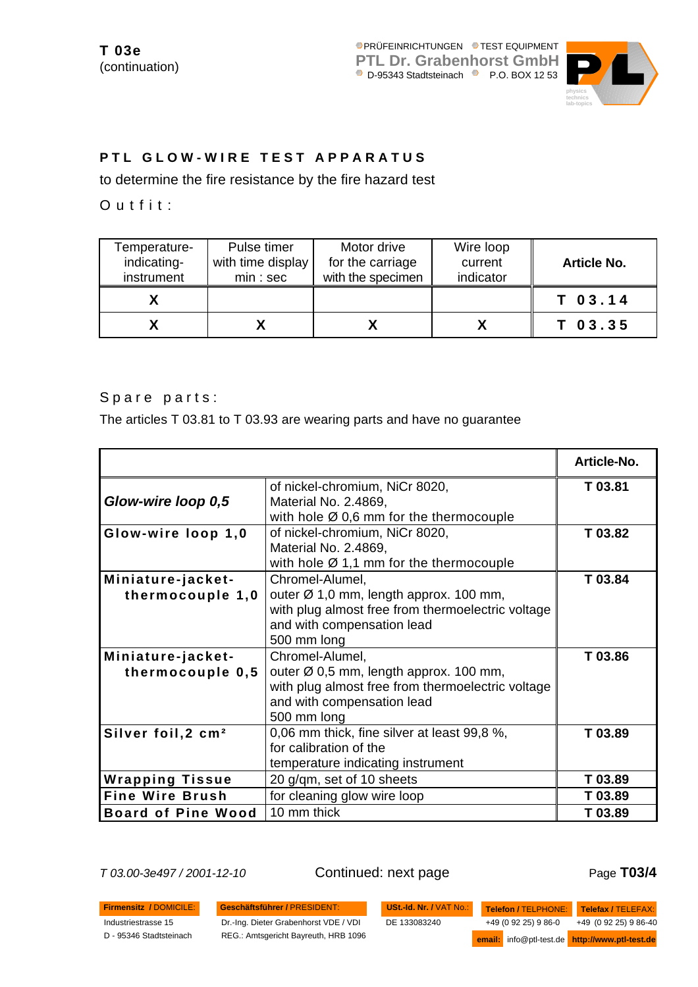

## **PTL GLOW-WIRE TEST APPARATUS**

to determine the fire resistance by the fire hazard test

Outfit:

| Temperature-<br>indicating-<br>instrument | Pulse timer<br>with time display<br>min:sec | Motor drive<br>for the carriage<br>with the specimen | Wire loop<br>current<br>indicator | <b>Article No.</b> |
|-------------------------------------------|---------------------------------------------|------------------------------------------------------|-----------------------------------|--------------------|
|                                           |                                             |                                                      |                                   | $T$ 03.14          |
|                                           |                                             |                                                      |                                   | $T$ 03.35          |

Spare parts:

The articles T 03.81 to T 03.93 are wearing parts and have no guarantee

|                                |                                                     | Article-No. |
|--------------------------------|-----------------------------------------------------|-------------|
|                                | of nickel-chromium, NiCr 8020,                      | T 03.81     |
| Glow-wire loop 0,5             | Material No. 2.4869,                                |             |
|                                | with hole $\varnothing$ 0,6 mm for the thermocouple |             |
| Glow-wire loop 1,0             | of nickel-chromium, NiCr 8020,                      | T 03.82     |
|                                | Material No. 2.4869,                                |             |
|                                | with hole $\varnothing$ 1,1 mm for the thermocouple |             |
| Miniature-jacket-              | Chromel-Alumel,                                     | T 03.84     |
| thermocouple 1,0               | outer $\varnothing$ 1,0 mm, length approx. 100 mm,  |             |
|                                | with plug almost free from thermoelectric voltage   |             |
|                                | and with compensation lead                          |             |
|                                | 500 mm long                                         |             |
| Miniature-jacket-              | Chromel-Alumel,                                     | T 03.86     |
| thermocouple 0,5               | outer Ø 0,5 mm, length approx. 100 mm,              |             |
|                                | with plug almost free from thermoelectric voltage   |             |
|                                | and with compensation lead                          |             |
|                                | 500 mm long                                         |             |
| Silver foil, 2 cm <sup>2</sup> | 0,06 mm thick, fine silver at least 99,8 %,         | T 03.89     |
|                                | for calibration of the                              |             |
|                                | temperature indicating instrument                   |             |
| <b>Wrapping Tissue</b>         | 20 g/qm, set of 10 sheets                           | T 03.89     |
| <b>Fine Wire Brush</b>         | for cleaning glow wire loop                         | T 03.89     |
| <b>Board of Pine Wood</b>      | 10 mm thick                                         | T 03.89     |

*T 03.00-3e497 / 2001-12-10* Continued: next page Page **T03/4**

**Firmensitz /** DOMICILE: **Geschäftsführer /** PRESIDENT: Industriestrasse 15

D - 95346 Stadtsteinach

Dr.-Ing. Dieter Grabenhorst VDE / VDI REG.: Amtsgericht Bayreuth, HRB 1096

**USt.-Id. Nr. /** VAT No.: DE 133083240

+49 (0 92 25) 9 86-0 +49 (0 92 25) 9 86-40 **Telefon /** TELPHONE: **Telefax /** TELEFAX: **email:** info@ptl-test.de **http://www.ptl-test.de**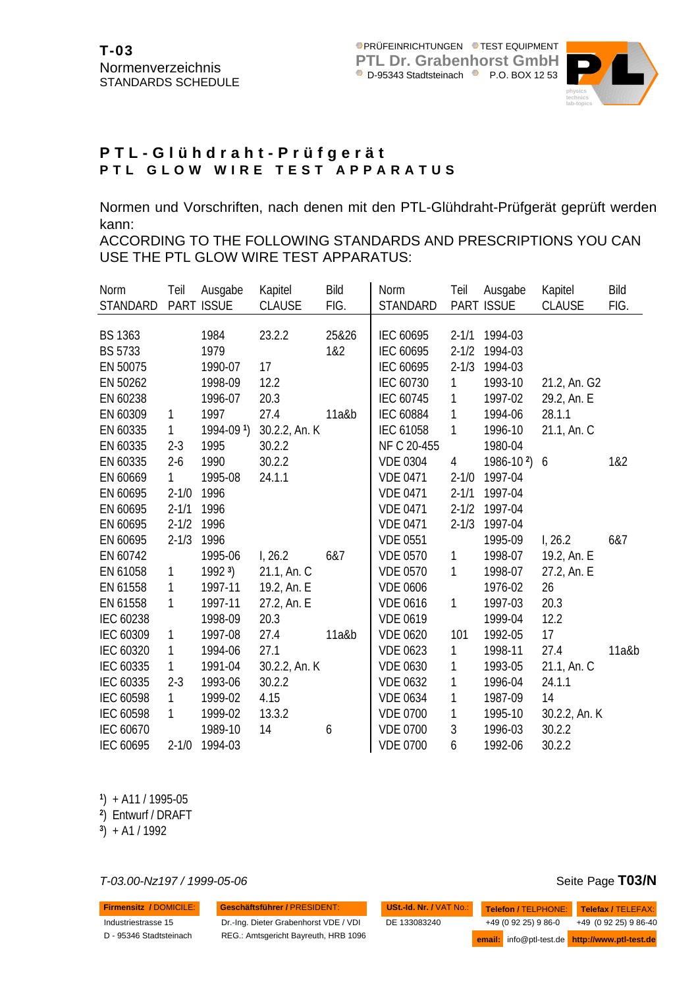

## **PTL-Glühdraht-Prüfgerät PTL GLOW WIRE TEST APPARATUS**

Normen und Vorschriften, nach denen mit den PTL-Glühdraht-Prüfgerät geprüft werden kann:

ACCORDING TO THE FOLLOWING STANDARDS AND PRESCRIPTIONS YOU CAN USE THE PTL GLOW WIRE TEST APPARATUS:

| Norm<br><b>STANDARD</b>          | Teil         | Ausgabe<br>PART ISSUE | Kapitel<br><b>CLAUSE</b> | Bild<br>FIG. | Norm<br>STANDARD       | Teil                   | Ausgabe<br><b>PART ISSUE</b> | Kapitel<br><b>CLAUSE</b> | <b>Bild</b><br>FIG. |
|----------------------------------|--------------|-----------------------|--------------------------|--------------|------------------------|------------------------|------------------------------|--------------------------|---------------------|
|                                  |              |                       |                          |              |                        |                        |                              |                          |                     |
| <b>BS 1363</b><br><b>BS 5733</b> |              | 1984<br>1979          | 23.2.2                   | 25&26<br>1&2 | IEC 60695<br>IEC 60695 | $2 - 1/1$<br>$2 - 1/2$ | 1994-03<br>1994-03           |                          |                     |
| EN 50075                         |              | 1990-07               | 17                       |              | IEC 60695              | $2 - 1/3$              | 1994-03                      |                          |                     |
| EN 50262                         |              | 1998-09               | 12.2                     |              | IEC 60730              | 1                      | 1993-10                      | 21.2, An. G2             |                     |
| EN 60238                         |              | 1996-07               | 20.3                     |              | IEC 60745              | $\mathbf{1}$           | 1997-02                      | 29.2, An. E              |                     |
| EN 60309                         | 1            | 1997                  | 27.4                     | 11a&b        | <b>IEC 60884</b>       | $\mathbf{1}$           | 1994-06                      | 28.1.1                   |                     |
| EN 60335                         | 1            | 1994-091)             | 30.2.2, An. K            |              | IEC 61058              | $\mathbf{1}$           | 1996-10                      | 21.1, An. C              |                     |
| EN 60335                         | $2 - 3$      | 1995                  | 30.2.2                   |              | NF C 20-455            |                        | 1980-04                      |                          |                     |
| EN 60335                         | $2 - 6$      | 1990                  | 30.2.2                   |              | <b>VDE 0304</b>        | $\overline{4}$         | $1986 - 102$                 | 6                        | 1&2                 |
| EN 60669                         | $\mathbf{1}$ | 1995-08               | 24.1.1                   |              | <b>VDE 0471</b>        | $2 - 1/0$              | 1997-04                      |                          |                     |
| EN 60695                         | $2 - 1/0$    | 1996                  |                          |              | <b>VDE 0471</b>        | $2 - 1/1$              | 1997-04                      |                          |                     |
| EN 60695                         | $2 - 1/1$    | 1996                  |                          |              | <b>VDE 0471</b>        | $2 - 1/2$              | 1997-04                      |                          |                     |
| EN 60695                         | $2 - 1/2$    | 1996                  |                          |              | <b>VDE 0471</b>        | $2 - 1/3$              | 1997-04                      |                          |                     |
| EN 60695                         | $2 - 1/3$    | 1996                  |                          |              | <b>VDE 0551</b>        |                        | 1995-09                      | 1, 26.2                  | 6&7                 |
| EN 60742                         |              | 1995-06               | 1, 26.2                  | 6&7          | <b>VDE 0570</b>        | $\mathbf{1}$           | 1998-07                      | 19.2, An. E              |                     |
| EN 61058                         | 1            | 19923                 | 21.1, An. C              |              | <b>VDE 0570</b>        | 1                      | 1998-07                      | 27.2, An. E              |                     |
| EN 61558                         | 1            | 1997-11               | 19.2, An. E              |              | <b>VDE 0606</b>        |                        | 1976-02                      | 26                       |                     |
| EN 61558                         | 1            | 1997-11               | 27.2, An. E              |              | <b>VDE 0616</b>        | 1                      | 1997-03                      | 20.3                     |                     |
| IEC 60238                        |              | 1998-09               | 20.3                     |              | <b>VDE 0619</b>        |                        | 1999-04                      | 12.2                     |                     |
| IEC 60309                        | 1            | 1997-08               | 27.4                     | 11a&b        | <b>VDE 0620</b>        | 101                    | 1992-05                      | 17                       |                     |
| IEC 60320                        | 1            | 1994-06               | 27.1                     |              | <b>VDE 0623</b>        | 1                      | 1998-11                      | 27.4                     | $11a$ &b            |
| IEC 60335                        | 1            | 1991-04               | 30.2.2, An. K            |              | <b>VDE 0630</b>        | 1                      | 1993-05                      | 21.1, An. C              |                     |
| IEC 60335                        | $2 - 3$      | 1993-06               | 30.2.2                   |              | <b>VDE 0632</b>        | 1                      | 1996-04                      | 24.1.1                   |                     |
| IEC 60598                        | 1            | 1999-02               | 4.15                     |              | <b>VDE 0634</b>        | 1                      | 1987-09                      | 14                       |                     |
| IEC 60598                        | 1            | 1999-02               | 13.3.2                   |              | <b>VDE 0700</b>        | 1                      | 1995-10                      | 30.2.2, An. K            |                     |
| IEC 60670                        |              | 1989-10               | 14                       | 6            | <b>VDE 0700</b>        | 3                      | 1996-03                      | 30.2.2                   |                     |
| IEC 60695                        | $2 - 1/0$    | 1994-03               |                          |              | <b>VDE 0700</b>        | 6                      | 1992-06                      | 30.2.2                   |                     |

**1** ) + A11 / 1995-05

**2** ) Entwurf / DRAFT

**3** ) + A1 / 1992

*T-03.00-Nz197 / 1999-05-06* Seite Page **T03/N**

**Firmensitz /** DOMICILE: **Geschäftsführer /** PRESIDENT:

Industriestrasse 15 D - 95346 Stadtsteinach Dr.-Ing. Dieter Grabenhorst VDE / VDI

REG.: Amtsgericht Bayreuth, HRB 1096

| USt.-Id. Nr. / VAT No.: |                      | Telefon / TELPHONE: Telefax / TELEFAX:         |
|-------------------------|----------------------|------------------------------------------------|
| DE 133083240            | +49 (0 92 25) 9 86-0 | +49 (0 92 25) 9 86-40                          |
|                         |                      | email: info@ptl-test.de http://www.ptl-test.de |